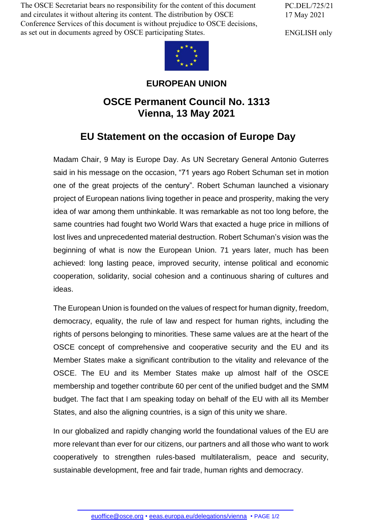The OSCE Secretariat bears no responsibility for the content of this document and circulates it without altering its content. The distribution by OSCE Conference Services of this document is without prejudice to OSCE decisions, as set out in documents agreed by OSCE participating States.

PC.DEL/725/21 17 May 2021

ENGLISH only



## **EUROPEAN UNION**

## **OSCE Permanent Council No. 1313 Vienna, 13 May 2021**

## **EU Statement on the occasion of Europe Day**

Madam Chair, 9 May is Europe Day. As UN Secretary General Antonio Guterres said in his message on the occasion, "71 years ago Robert Schuman set in motion one of the great projects of the century". Robert Schuman launched a visionary project of European nations living together in peace and prosperity, making the very idea of war among them unthinkable. It was remarkable as not too long before, the same countries had fought two World Wars that exacted a huge price in millions of lost lives and unprecedented material destruction. Robert Schuman's vision was the beginning of what is now the European Union. 71 years later, much has been achieved: long lasting peace, improved security, intense political and economic cooperation, solidarity, social cohesion and a continuous sharing of cultures and ideas.

The European Union is founded on the values of respect for human dignity, freedom, democracy, equality, the rule of law and respect for human rights, including the rights of persons belonging to minorities. These same values are at the heart of the OSCE concept of comprehensive and cooperative security and the EU and its Member States make a significant contribution to the vitality and relevance of the OSCE. The EU and its Member States make up almost half of the OSCE membership and together contribute 60 per cent of the unified budget and the SMM budget. The fact that I am speaking today on behalf of the EU with all its Member States, and also the aligning countries, is a sign of this unity we share.

In our globalized and rapidly changing world the foundational values of the EU are more relevant than ever for our citizens, our partners and all those who want to work cooperatively to strengthen rules-based multilateralism, peace and security, sustainable development, free and fair trade, human rights and democracy.